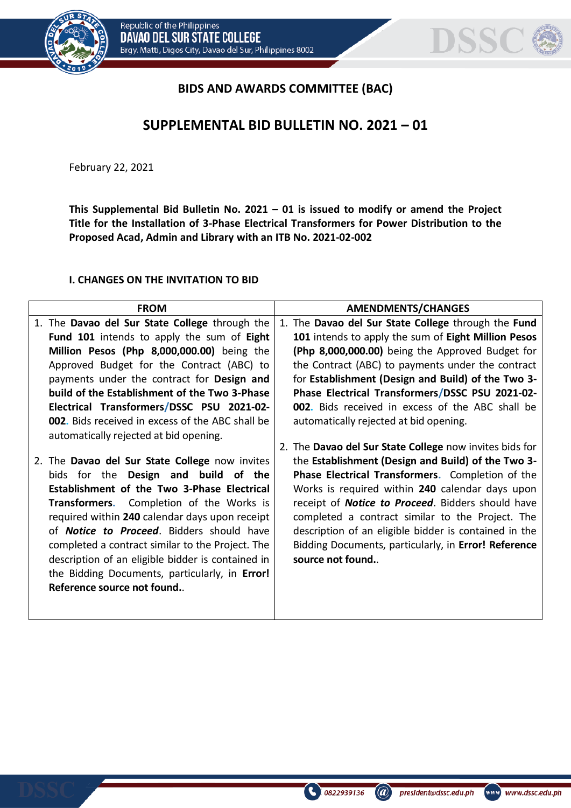



## **BIDS AND AWARDS COMMITTEE (BAC)**

## **SUPPLEMENTAL BID BULLETIN NO. 2021 – 01**

February 22, 2021

**This Supplemental Bid Bulletin No. 2021 – 01 is issued to modify or amend the Project Title for the Installation of 3-Phase Electrical Transformers for Power Distribution to the Proposed Acad, Admin and Library with an ITB No. 2021-02-002**

## **I. CHANGES ON THE INVITATION TO BID**

|    | <b>FROM</b>                                             | <b>AMENDMENTS/CHANGES</b>                                 |
|----|---------------------------------------------------------|-----------------------------------------------------------|
|    | 1. The Davao del Sur State College through the          | 1. The Davao del Sur State College through the Fund       |
|    | Fund 101 intends to apply the sum of Eight              | 101 intends to apply the sum of Eight Million Pesos       |
|    | Million Pesos (Php 8,000,000.00) being the              | (Php 8,000,000.00) being the Approved Budget for          |
|    | Approved Budget for the Contract (ABC) to               | the Contract (ABC) to payments under the contract         |
|    | payments under the contract for Design and              | for Establishment (Design and Build) of the Two 3-        |
|    | build of the Establishment of the Two 3-Phase           | Phase Electrical Transformers/DSSC PSU 2021-02-           |
|    | Electrical Transformers/DSSC PSU 2021-02-               | <b>002.</b> Bids received in excess of the ABC shall be   |
|    | <b>002.</b> Bids received in excess of the ABC shall be | automatically rejected at bid opening.                    |
|    | automatically rejected at bid opening.                  |                                                           |
|    |                                                         | 2. The Davao del Sur State College now invites bids for   |
| 2. | The Davao del Sur State College now invites             | the Establishment (Design and Build) of the Two 3-        |
|    | bids for the Design and build of the                    | Phase Electrical Transformers. Completion of the          |
|    | Establishment of the Two 3-Phase Electrical             | Works is required within 240 calendar days upon           |
|    | Transformers. Completion of the Works is                | receipt of <b>Notice to Proceed</b> . Bidders should have |
|    | required within 240 calendar days upon receipt          | completed a contract similar to the Project. The          |
|    | of <b>Notice to Proceed</b> . Bidders should have       | description of an eligible bidder is contained in the     |
|    | completed a contract similar to the Project. The        | Bidding Documents, particularly, in Error! Reference      |
|    | description of an eligible bidder is contained in       | source not found                                          |
|    | the Bidding Documents, particularly, in Error!          |                                                           |
|    | Reference source not found                              |                                                           |
|    |                                                         |                                                           |
|    |                                                         |                                                           |